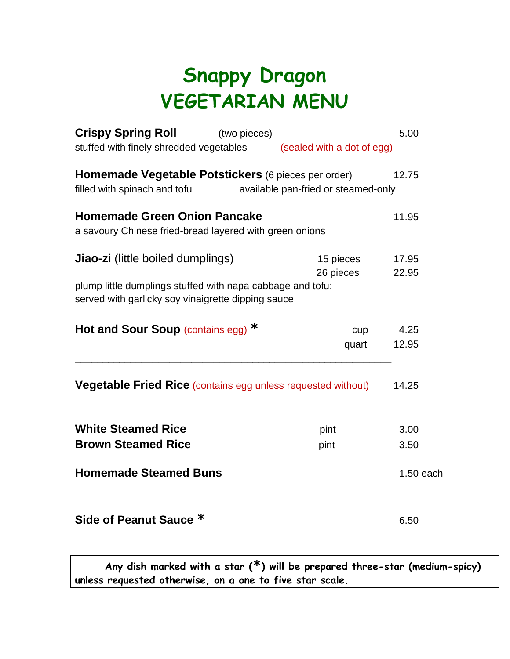## **Snappy Dragon VEGETARIAN MENU**

| <b>Crispy Spring Roll</b>                                                                                        | (two pieces)                        |           | 5.00      |
|------------------------------------------------------------------------------------------------------------------|-------------------------------------|-----------|-----------|
| stuffed with finely shredded vegetables<br>(sealed with a dot of egg)                                            |                                     |           |           |
| Homemade Vegetable Potstickers (6 pieces per order)                                                              |                                     |           | 12.75     |
| filled with spinach and tofu                                                                                     | available pan-fried or steamed-only |           |           |
| <b>Homemade Green Onion Pancake</b>                                                                              |                                     |           | 11.95     |
| a savoury Chinese fried-bread layered with green onions                                                          |                                     |           |           |
| <b>Jiao-zi</b> (little boiled dumplings)                                                                         | 15 pieces                           | 17.95     |           |
|                                                                                                                  |                                     | 26 pieces | 22.95     |
| plump little dumplings stuffed with napa cabbage and tofu;<br>served with garlicky soy vinaigrette dipping sauce |                                     |           |           |
|                                                                                                                  |                                     |           |           |
| Hot and Sour Soup (contains egg) $*$                                                                             |                                     | cupp      | 4.25      |
|                                                                                                                  |                                     | quart     | 12.95     |
| <b>Vegetable Fried Rice (contains egg unless requested without)</b>                                              |                                     |           | 14.25     |
| <b>White Steamed Rice</b>                                                                                        |                                     | pint      | 3.00      |
| <b>Brown Steamed Rice</b>                                                                                        |                                     | pint      | 3.50      |
| <b>Homemade Steamed Buns</b>                                                                                     |                                     |           | 1.50 each |
| Side of Peanut Sauce *                                                                                           |                                     |           | 6.50      |

**Any dish marked with a star (\*) will be prepared three-star (medium-spicy) unless requested otherwise, on a one to five star scale.**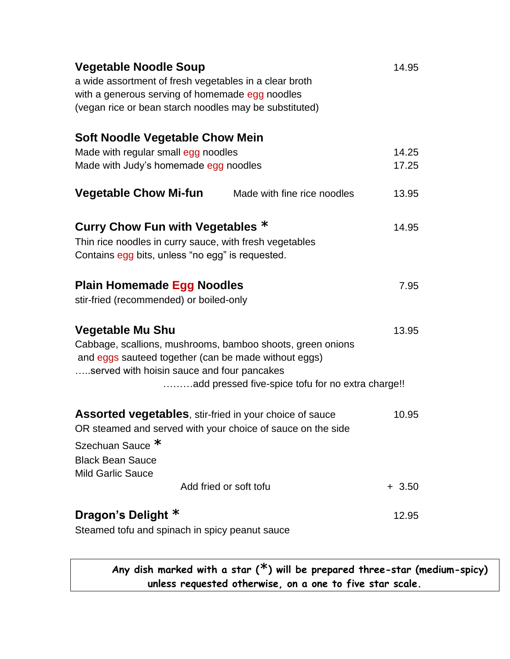| <b>Vegetable Noodle Soup</b><br>a wide assortment of fresh vegetables in a clear broth<br>with a generous serving of homemade egg noodles<br>(vegan rice or bean starch noodles may be substituted) |                                                   | 14.95   |
|-----------------------------------------------------------------------------------------------------------------------------------------------------------------------------------------------------|---------------------------------------------------|---------|
| <b>Soft Noodle Vegetable Chow Mein</b>                                                                                                                                                              |                                                   |         |
| Made with regular small egg noodles                                                                                                                                                                 | 14.25                                             |         |
| Made with Judy's homemade egg noodles                                                                                                                                                               | 17.25                                             |         |
| <b>Vegetable Chow Mi-fun</b>                                                                                                                                                                        | Made with fine rice noodles                       | 13.95   |
| Curry Chow Fun with Vegetables *                                                                                                                                                                    |                                                   | 14.95   |
| Thin rice noodles in curry sauce, with fresh vegetables<br>Contains egg bits, unless "no egg" is requested.                                                                                         |                                                   |         |
| <b>Plain Homemade Egg Noodles</b><br>stir-fried (recommended) or boiled-only                                                                                                                        |                                                   | 7.95    |
| <b>Vegetable Mu Shu</b><br>Cabbage, scallions, mushrooms, bamboo shoots, green onions<br>and eggs sauteed together (can be made without eggs)<br>served with hoisin sauce and four pancakes         | add pressed five-spice tofu for no extra charge!! | 13.95   |
| Assorted vegetables, stir-fried in your choice of sauce<br>OR steamed and served with your choice of sauce on the side<br>Szechuan Sauce <sup>*</sup><br><b>Black Bean Sauce</b>                    |                                                   | 10.95   |
| <b>Mild Garlic Sauce</b>                                                                                                                                                                            |                                                   |         |
|                                                                                                                                                                                                     | Add fried or soft tofu                            | $+3.50$ |
| Dragon's Delight *                                                                                                                                                                                  |                                                   | 12.95   |
| Steamed tofu and spinach in spicy peanut sauce                                                                                                                                                      |                                                   |         |

**Any dish marked with a star (\*) will be prepared three-star (medium-spicy) unless requested otherwise, on a one to five star scale.**